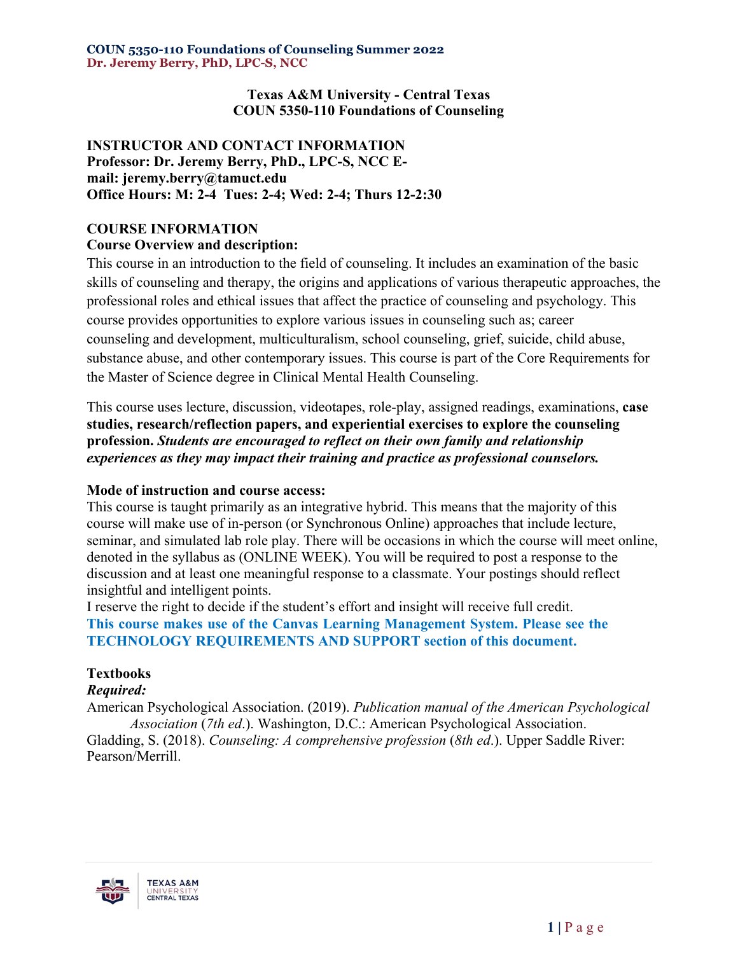**Texas A&M University - Central Texas COUN 5350-110 Foundations of Counseling**

### **INSTRUCTOR AND CONTACT INFORMATION Professor: Dr. Jeremy Berry, PhD., LPC-S, NCC Email: jeremy.berry@tamuct.edu Office Hours: M: 2-4 Tues: 2-4; Wed: 2-4; Thurs 12-2:30**

# **COURSE INFORMATION**

### **Course Overview and description:**

This course in an introduction to the field of counseling. It includes an examination of the basic skills of counseling and therapy, the origins and applications of various therapeutic approaches, the professional roles and ethical issues that affect the practice of counseling and psychology. This course provides opportunities to explore various issues in counseling such as; career counseling and development, multiculturalism, school counseling, grief, suicide, child abuse, substance abuse, and other contemporary issues. This course is part of the Core Requirements for the Master of Science degree in Clinical Mental Health Counseling.

This course uses lecture, discussion, videotapes, role-play, assigned readings, examinations, **case studies, research/reflection papers, and experiential exercises to explore the counseling profession.** *Students are encouraged to reflect on their own family and relationship experiences as they may impact their training and practice as professional counselors.*

### **Mode of instruction and course access:**

This course is taught primarily as an integrative hybrid. This means that the majority of this course will make use of in-person (or Synchronous Online) approaches that include lecture, seminar, and simulated lab role play. There will be occasions in which the course will meet online, denoted in the syllabus as (ONLINE WEEK). You will be required to post a response to the discussion and at least one meaningful response to a classmate. Your postings should reflect insightful and intelligent points.

I reserve the right to decide if the student's effort and insight will receive full credit. **This course makes use of the Canvas Learning Management System. Please see the TECHNOLOGY REQUIREMENTS AND SUPPORT section of this document.**

### **Textbooks**

### *Required:*

American Psychological Association. (2019). *Publication manual of the American Psychological Association* (*7th ed*.). Washington, D.C.: American Psychological Association. Gladding, S. (2018). *Counseling: A comprehensive profession* (*8th ed*.). Upper Saddle River: Pearson/Merrill.

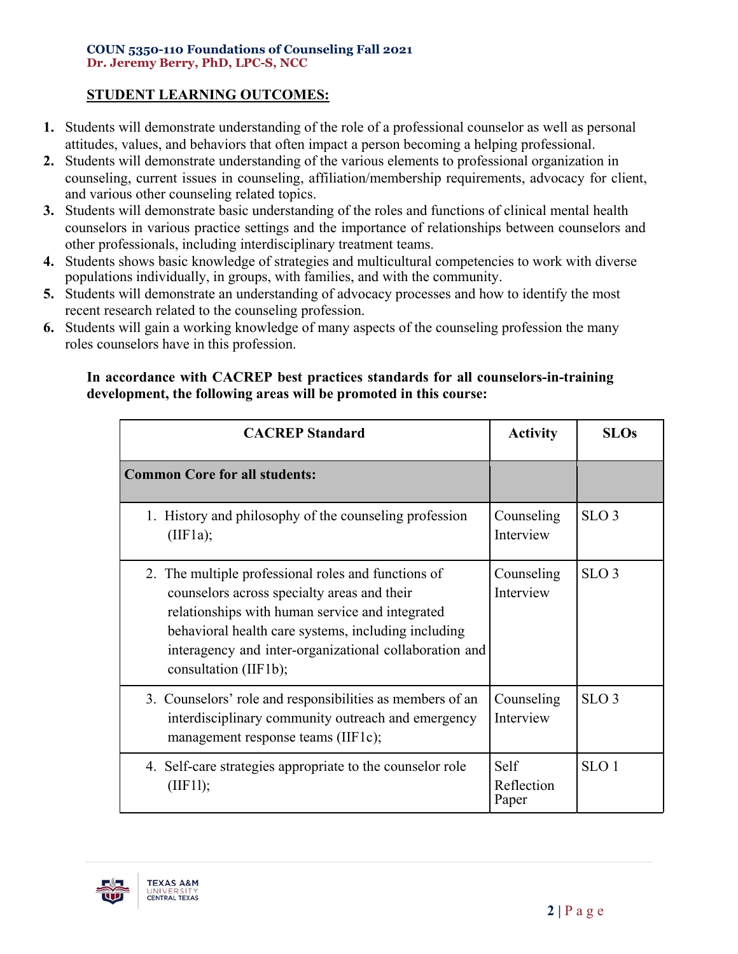## **STUDENT LEARNING OUTCOMES:**

- **1.** Students will demonstrate understanding of the role of a professional counselor as well as personal attitudes, values, and behaviors that often impact a person becoming a helping professional.
- **2.** Students will demonstrate understanding of the various elements to professional organization in counseling, current issues in counseling, affiliation/membership requirements, advocacy for client, and various other counseling related topics.
- **3.** Students will demonstrate basic understanding of the roles and functions of clinical mental health counselors in various practice settings and the importance of relationships between counselors and other professionals, including interdisciplinary treatment teams.
- **4.** Students shows basic knowledge of strategies and multicultural competencies to work with diverse populations individually, in groups, with families, and with the community.
- **5.** Students will demonstrate an understanding of advocacy processes and how to identify the most recent research related to the counseling profession.
- **6.** Students will gain a working knowledge of many aspects of the counseling profession the many roles counselors have in this profession.

### **In accordance with CACREP best practices standards for all counselors-in-training development, the following areas will be promoted in this course:**

| <b>CACREP</b> Standard                                                                                                                                                                                                                                                                          | <b>Activity</b>             | <b>SLOs</b>      |
|-------------------------------------------------------------------------------------------------------------------------------------------------------------------------------------------------------------------------------------------------------------------------------------------------|-----------------------------|------------------|
| <b>Common Core for all students:</b>                                                                                                                                                                                                                                                            |                             |                  |
| 1. History and philosophy of the counseling profession<br>(IIF1a);                                                                                                                                                                                                                              | Counseling<br>Interview     | SLO <sub>3</sub> |
| 2. The multiple professional roles and functions of<br>counselors across specialty areas and their<br>relationships with human service and integrated<br>behavioral health care systems, including including<br>interagency and inter-organizational collaboration and<br>consultation (IIF1b); | Counseling<br>Interview     | SLO <sub>3</sub> |
| 3. Counselors' role and responsibilities as members of an<br>interdisciplinary community outreach and emergency<br>management response teams (IIF1c);                                                                                                                                           | Counseling<br>Interview     | SLO <sub>3</sub> |
| 4. Self-care strategies appropriate to the counselor role<br>(IIF11);                                                                                                                                                                                                                           | Self<br>Reflection<br>Paper | SLO <sub>1</sub> |

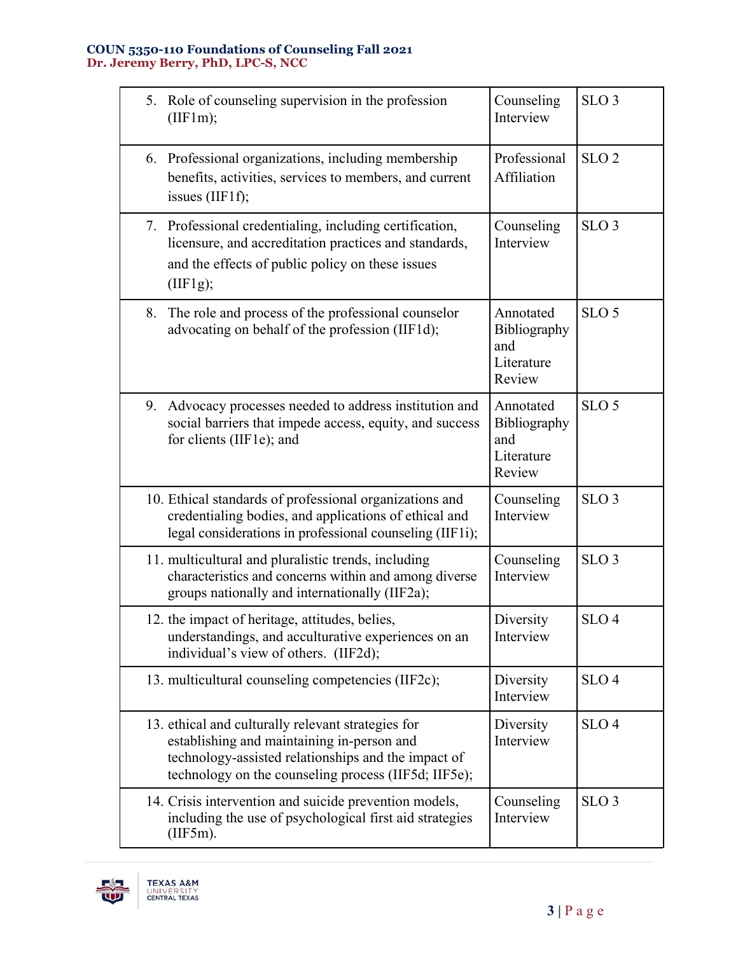| 5. Role of counseling supervision in the profession<br>(IIF1m);                                                                                                                                                 | Counseling<br>Interview                                  | SLO <sub>3</sub> |
|-----------------------------------------------------------------------------------------------------------------------------------------------------------------------------------------------------------------|----------------------------------------------------------|------------------|
| 6. Professional organizations, including membership<br>benefits, activities, services to members, and current<br>issues $(IIF1f);$                                                                              | Professional<br>Affiliation                              | SLO <sub>2</sub> |
| 7. Professional credentialing, including certification,<br>licensure, and accreditation practices and standards,<br>and the effects of public policy on these issues<br>(IIF1g);                                | Counseling<br>Interview                                  | SLO <sub>3</sub> |
| 8.<br>The role and process of the professional counselor<br>advocating on behalf of the profession (IIF1d);                                                                                                     | Annotated<br>Bibliography<br>and<br>Literature<br>Review | SLO <sub>5</sub> |
| 9. Advocacy processes needed to address institution and<br>social barriers that impede access, equity, and success<br>for clients (IIF1e); and                                                                  | Annotated<br>Bibliography<br>and<br>Literature<br>Review | SLO <sub>5</sub> |
| 10. Ethical standards of professional organizations and<br>credentialing bodies, and applications of ethical and<br>legal considerations in professional counseling (IIF1i);                                    | Counseling<br>Interview                                  | SLO <sub>3</sub> |
| 11. multicultural and pluralistic trends, including<br>characteristics and concerns within and among diverse<br>groups nationally and internationally (IIF2a);                                                  | Counseling<br>Interview                                  | SLO <sub>3</sub> |
| 12. the impact of heritage, attitudes, belies,<br>understandings, and acculturative experiences on an<br>individual's view of others. (IIF2d);                                                                  | Diversity<br>Interview                                   | SLO <sub>4</sub> |
| 13. multicultural counseling competencies (IIF2c);                                                                                                                                                              | Diversity<br>Interview                                   | SLO <sub>4</sub> |
| 13. ethical and culturally relevant strategies for<br>establishing and maintaining in-person and<br>technology-assisted relationships and the impact of<br>technology on the counseling process (IIF5d; IIF5e); | Diversity<br>Interview                                   | SLO <sub>4</sub> |
| 14. Crisis intervention and suicide prevention models,<br>including the use of psychological first aid strategies<br>(III5m).                                                                                   | Counseling<br>Interview                                  | SLO <sub>3</sub> |

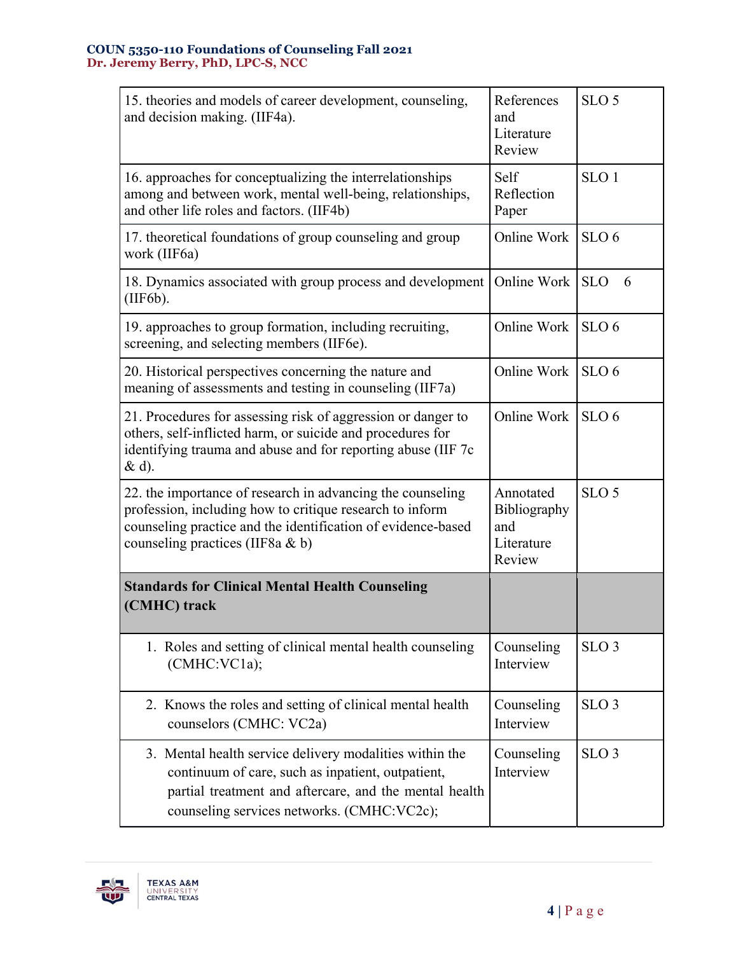| 15. theories and models of career development, counseling,<br>and decision making. (IIF4a).                                                                                                                                | References<br>and<br>Literature<br>Review                | SLO <sub>5</sub> |
|----------------------------------------------------------------------------------------------------------------------------------------------------------------------------------------------------------------------------|----------------------------------------------------------|------------------|
| 16. approaches for conceptualizing the interrelationships<br>among and between work, mental well-being, relationships,<br>and other life roles and factors. (IIF4b)                                                        | Self<br>Reflection<br>Paper                              | SLO <sub>1</sub> |
| 17. theoretical foundations of group counseling and group<br>work (IIF6a)                                                                                                                                                  | Online Work                                              | SLO <sub>6</sub> |
| 18. Dynamics associated with group process and development<br>(IIF6b).                                                                                                                                                     | Online Work                                              | <b>SLO</b><br>6  |
| 19. approaches to group formation, including recruiting,<br>screening, and selecting members (IIF6e).                                                                                                                      | Online Work                                              | SLO <sub>6</sub> |
| 20. Historical perspectives concerning the nature and<br>meaning of assessments and testing in counseling (IIF7a)                                                                                                          | Online Work                                              | SLO <sub>6</sub> |
| 21. Procedures for assessing risk of aggression or danger to<br>others, self-inflicted harm, or suicide and procedures for<br>identifying trauma and abuse and for reporting abuse (IIF 7c<br>& d).                        | Online Work                                              | SLO <sub>6</sub> |
| 22. the importance of research in advancing the counseling<br>profession, including how to critique research to inform<br>counseling practice and the identification of evidence-based<br>counseling practices (IIF8a & b) | Annotated<br>Bibliography<br>and<br>Literature<br>Review | SLO <sub>5</sub> |
| <b>Standards for Clinical Mental Health Counseling</b><br>(CMHC) track                                                                                                                                                     |                                                          |                  |
| 1. Roles and setting of clinical mental health counseling<br>(CMHC:VC1a);                                                                                                                                                  | Counseling<br>Interview                                  | SLO <sub>3</sub> |
| 2. Knows the roles and setting of clinical mental health<br>counselors (CMHC: VC2a)                                                                                                                                        | Counseling<br>Interview                                  | SLO <sub>3</sub> |
| 3. Mental health service delivery modalities within the<br>continuum of care, such as inpatient, outpatient,<br>partial treatment and aftercare, and the mental health<br>counseling services networks. (CMHC:VC2c);       | Counseling<br>Interview                                  | SLO <sub>3</sub> |

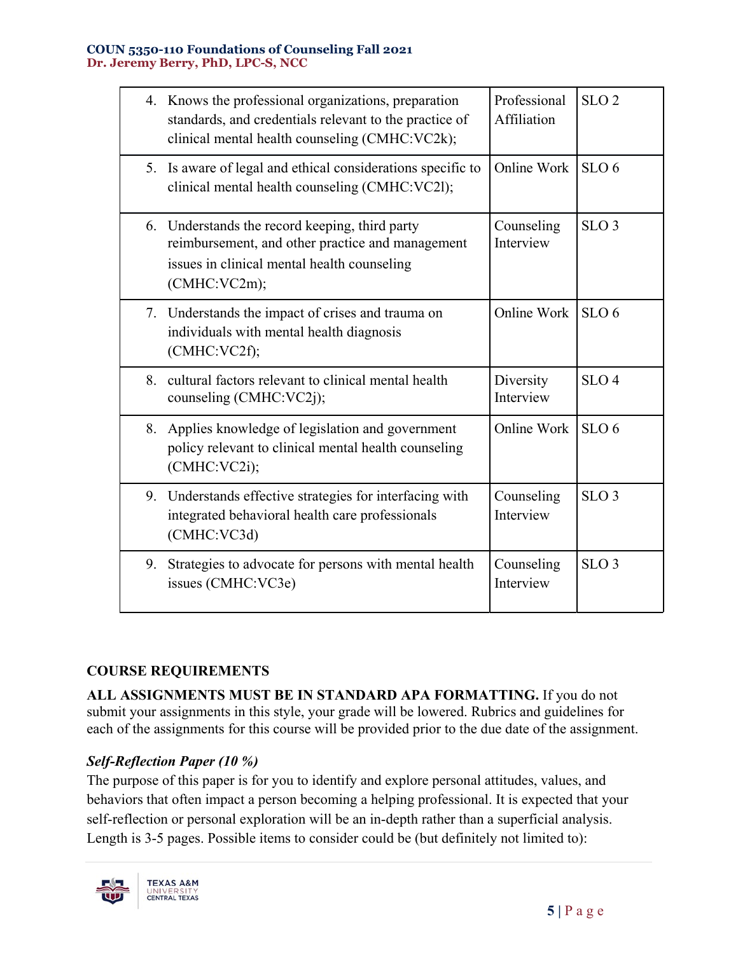|    | 4. Knows the professional organizations, preparation<br>standards, and credentials relevant to the practice of<br>clinical mental health counseling (CMHC:VC2k);  | Professional<br>Affiliation | SLO <sub>2</sub> |
|----|-------------------------------------------------------------------------------------------------------------------------------------------------------------------|-----------------------------|------------------|
| 5. | Is aware of legal and ethical considerations specific to<br>clinical mental health counseling (CMHC:VC21);                                                        | Online Work                 | SLO <sub>6</sub> |
|    | 6. Understands the record keeping, third party<br>reimbursement, and other practice and management<br>issues in clinical mental health counseling<br>(CMHC:VC2m); | Counseling<br>Interview     | SLO <sub>3</sub> |
|    | 7. Understands the impact of crises and trauma on<br>individuals with mental health diagnosis<br>(CMHC:VC2f);                                                     | Online Work                 | SLO <sub>6</sub> |
| 8. | cultural factors relevant to clinical mental health<br>counseling (CMHC:VC2j);                                                                                    | Diversity<br>Interview      | SLO <sub>4</sub> |
| 8. | Applies knowledge of legislation and government<br>policy relevant to clinical mental health counseling<br>(CMHC:VC2i);                                           | Online Work                 | SLO <sub>6</sub> |
| 9. | Understands effective strategies for interfacing with<br>integrated behavioral health care professionals<br>(CMHC:VC3d)                                           | Counseling<br>Interview     | SLO <sub>3</sub> |
| 9. | Strategies to advocate for persons with mental health<br>issues (CMHC:VC3e)                                                                                       | Counseling<br>Interview     | SLO <sub>3</sub> |

# **COURSE REQUIREMENTS**

**ALL ASSIGNMENTS MUST BE IN STANDARD APA FORMATTING.** If you do not submit your assignments in this style, your grade will be lowered. Rubrics and guidelines for each of the assignments for this course will be provided prior to the due date of the assignment.

# *Self-Reflection Paper (10 %)*

The purpose of this paper is for you to identify and explore personal attitudes, values, and behaviors that often impact a person becoming a helping professional. It is expected that your self-reflection or personal exploration will be an in-depth rather than a superficial analysis. Length is 3-5 pages. Possible items to consider could be (but definitely not limited to):

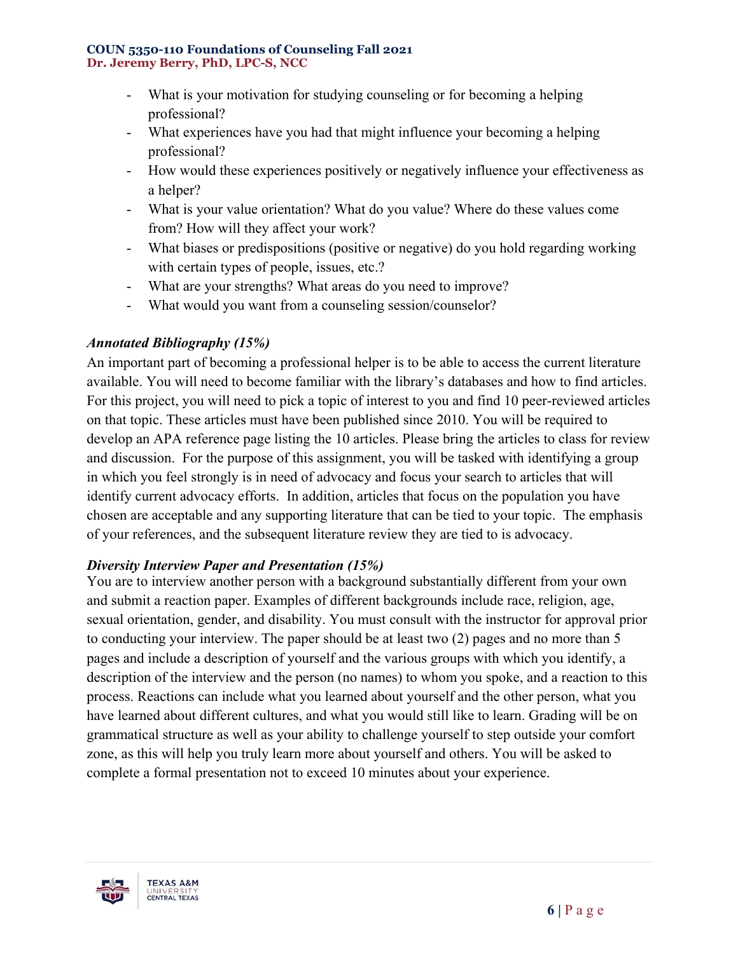- What is your motivation for studying counseling or for becoming a helping professional?
- What experiences have you had that might influence your becoming a helping professional?
- How would these experiences positively or negatively influence your effectiveness as a helper?
- What is your value orientation? What do you value? Where do these values come from? How will they affect your work?
- What biases or predispositions (positive or negative) do you hold regarding working with certain types of people, issues, etc.?
- What are your strengths? What areas do you need to improve?
- What would you want from a counseling session/counselor?

# *Annotated Bibliography (15%)*

An important part of becoming a professional helper is to be able to access the current literature available. You will need to become familiar with the library's databases and how to find articles. For this project, you will need to pick a topic of interest to you and find 10 peer-reviewed articles on that topic. These articles must have been published since 2010. You will be required to develop an APA reference page listing the 10 articles. Please bring the articles to class for review and discussion. For the purpose of this assignment, you will be tasked with identifying a group in which you feel strongly is in need of advocacy and focus your search to articles that will identify current advocacy efforts. In addition, articles that focus on the population you have chosen are acceptable and any supporting literature that can be tied to your topic. The emphasis of your references, and the subsequent literature review they are tied to is advocacy.

# *Diversity Interview Paper and Presentation (15%)*

You are to interview another person with a background substantially different from your own and submit a reaction paper. Examples of different backgrounds include race, religion, age, sexual orientation, gender, and disability. You must consult with the instructor for approval prior to conducting your interview. The paper should be at least two (2) pages and no more than 5 pages and include a description of yourself and the various groups with which you identify, a description of the interview and the person (no names) to whom you spoke, and a reaction to this process. Reactions can include what you learned about yourself and the other person, what you have learned about different cultures, and what you would still like to learn. Grading will be on grammatical structure as well as your ability to challenge yourself to step outside your comfort zone, as this will help you truly learn more about yourself and others. You will be asked to complete a formal presentation not to exceed 10 minutes about your experience.

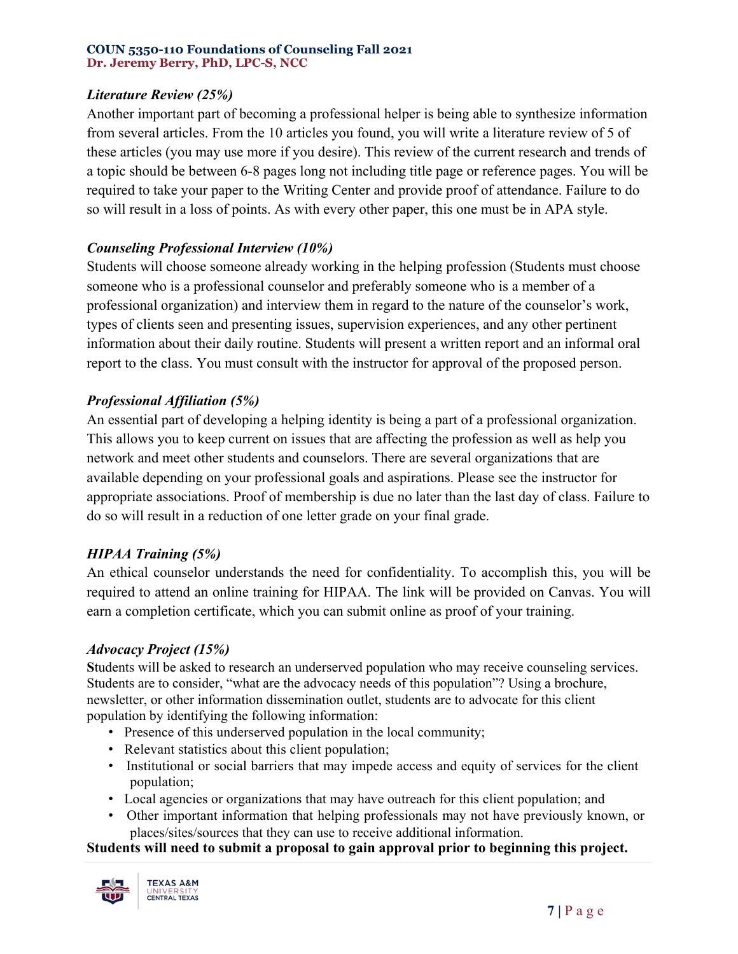# *Literature Review (25%)*

Another important part of becoming a professional helper is being able to synthesize information from several articles. From the 10 articles you found, you will write a literature review of 5 of these articles (you may use more if you desire). This review of the current research and trends of a topic should be between 6-8 pages long not including title page or reference pages. You will be required to take your paper to the Writing Center and provide proof of attendance. Failure to do so will result in a loss of points. As with every other paper, this one must be in APA style.

## *Counseling Professional Interview (10%)*

Students will choose someone already working in the helping profession (Students must choose someone who is a professional counselor and preferably someone who is a member of a professional organization) and interview them in regard to the nature of the counselor's work, types of clients seen and presenting issues, supervision experiences, and any other pertinent information about their daily routine. Students will present a written report and an informal oral report to the class. You must consult with the instructor for approval of the proposed person.

## *Professional Affiliation (5%)*

An essential part of developing a helping identity is being a part of a professional organization. This allows you to keep current on issues that are affecting the profession as well as help you network and meet other students and counselors. There are several organizations that are available depending on your professional goals and aspirations. Please see the instructor for appropriate associations. Proof of membership is due no later than the last day of class. Failure to do so will result in a reduction of one letter grade on your final grade.

### *HIPAA Training (5%)*

An ethical counselor understands the need for confidentiality. To accomplish this, you will be required to attend an online training for HIPAA. The link will be provided on Canvas. You will earn a completion certificate, which you can submit online as proof of your training.

### *Advocacy Project (15%)*

**S**tudents will be asked to research an underserved population who may receive counseling services. Students are to consider, "what are the advocacy needs of this population"? Using a brochure, newsletter, or other information dissemination outlet, students are to advocate for this client population by identifying the following information:

- Presence of this underserved population in the local community;
- Relevant statistics about this client population;
- Institutional or social barriers that may impede access and equity of services for the client population;
- Local agencies or organizations that may have outreach for this client population; and
- Other important information that helping professionals may not have previously known, or places/sites/sources that they can use to receive additional information.

### **Students will need to submit a proposal to gain approval prior to beginning this project.**

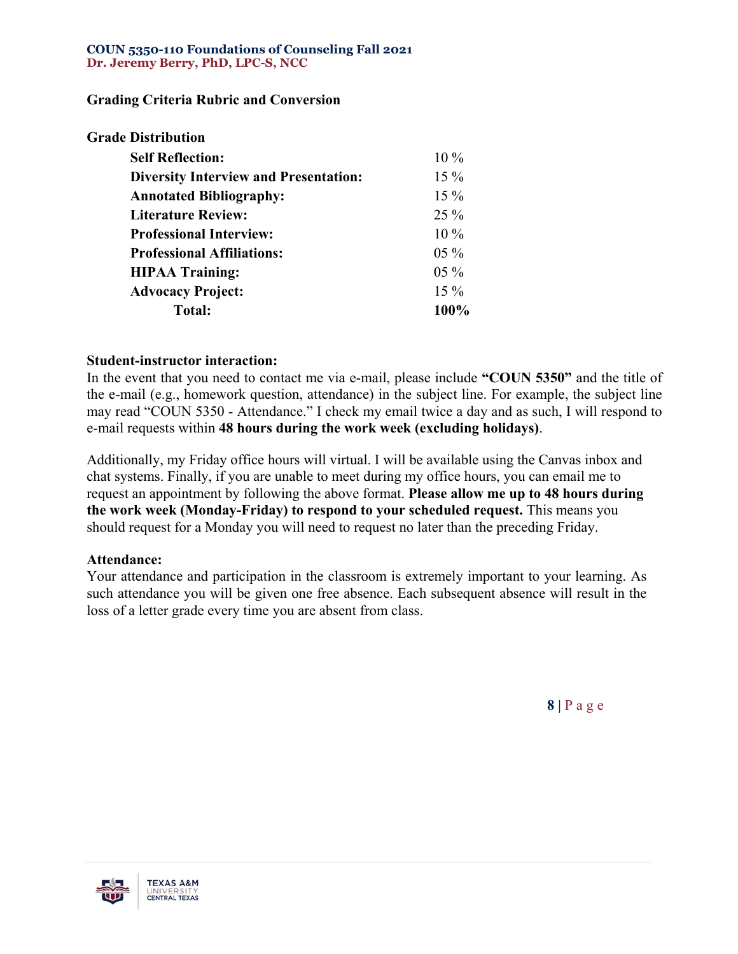### **Grading Criteria Rubric and Conversion**

| <b>Grade Distribution</b>                    |        |
|----------------------------------------------|--------|
| <b>Self Reflection:</b>                      | $10\%$ |
| <b>Diversity Interview and Presentation:</b> | $15\%$ |
| <b>Annotated Bibliography:</b>               | $15\%$ |
| <b>Literature Review:</b>                    | $25\%$ |
| <b>Professional Interview:</b>               | $10\%$ |
| <b>Professional Affiliations:</b>            | $05\%$ |
| <b>HIPAA Training:</b>                       | $05\%$ |
| <b>Advocacy Project:</b>                     | $15\%$ |
| <b>Total:</b>                                | 100%   |
|                                              |        |

#### **Student-instructor interaction:**

In the event that you need to contact me via e-mail, please include **"COUN 5350"** and the title of the e-mail (e.g., homework question, attendance) in the subject line. For example, the subject line may read "COUN 5350 - Attendance." I check my email twice a day and as such, I will respond to e-mail requests within **48 hours during the work week (excluding holidays)**.

Additionally, my Friday office hours will virtual. I will be available using the Canvas inbox and chat systems. Finally, if you are unable to meet during my office hours, you can email me to request an appointment by following the above format. **Please allow me up to 48 hours during the work week (Monday-Friday) to respond to your scheduled request.** This means you should request for a Monday you will need to request no later than the preceding Friday.

#### **Attendance:**

Your attendance and participation in the classroom is extremely important to your learning. As such attendance you will be given one free absence. Each subsequent absence will result in the loss of a letter grade every time you are absent from class.

**8 |** P a g e

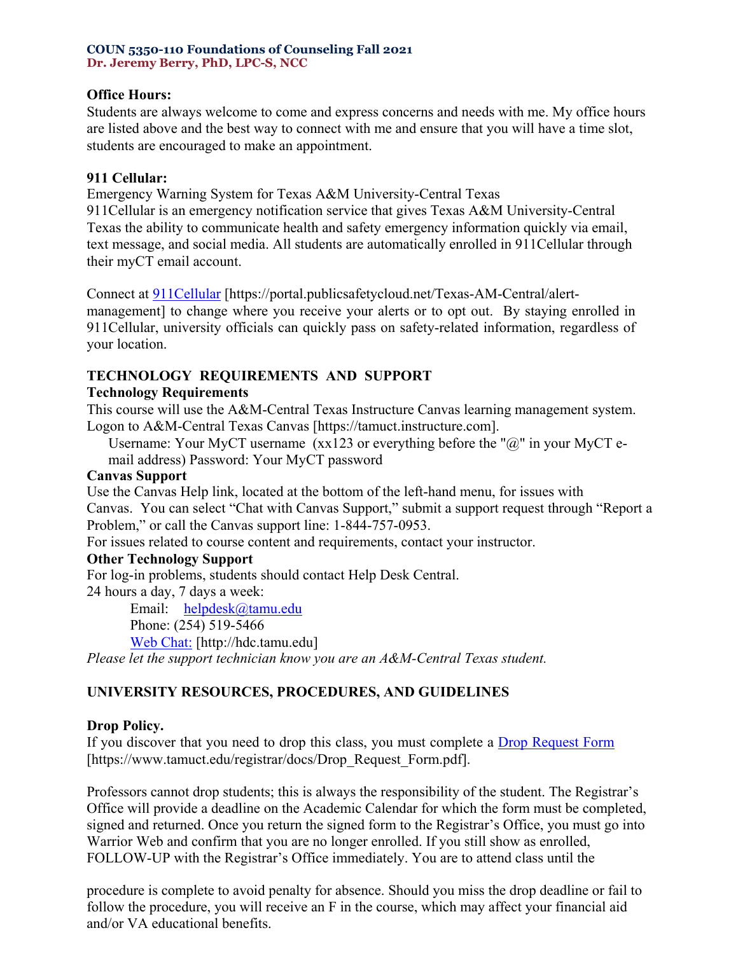### **Office Hours:**

Students are always welcome to come and express concerns and needs with me. My office hours are listed above and the best way to connect with me and ensure that you will have a time slot, students are encouraged to make an appointment.

#### **911 Cellular:**

Emergency Warning System for Texas A&M University-Central Texas

911Cellular is an emergency notification service that gives Texas A&M University-Central Texas the ability to communicate health and safety emergency information quickly via email, text message, and social media. All students are automatically enrolled in 911Cellular through their myCT email account.

Connect at [911Cellular](https://portal.publicsafetycloud.net/Texas-AM-Central/alert-management) [\[https://portal.publicsafetycloud.net/Texas-AM-Central/alert-](https://portal.publicsafetycloud.net/texas-am-central/alert-/)

management] to change where you receive your alerts or to opt out. By staying enrolled in 911Cellular, university officials can quickly pass on safety-related information, regardless of your location.

## **TECHNOLOGY REQUIREMENTS AND SUPPORT**

### **Technology Requirements**

This course will use the A&M-Central Texas Instructure Canvas learning management system. Logon to A&M-Central Texas Canvas [\[https://tamuct.instructure.com\]](https://tamuct.instructure.com/).

Username: Your MyCT username  $(xx123$  or everything before the " $@$ " in your MyCT email address) Password: Your MyCT password

### **Canvas Support**

Use the Canvas Help link, located at the bottom of the left-hand menu, for issues with Canvas. You can select "Chat with Canvas Support," submit a support request through "Report a Problem," or call the Canvas support line: 1-844-757-0953.

For issues related to course content and requirements, contact your instructor.

### **Other Technology Support**

For log-in problems, students should contact Help Desk Central.

24 hours a day, 7 days a week:

Email: [helpdesk@tamu.edu](mailto:helpdesk@tamu.edu)  Phone: (254) 519-5466 [Web Chat:](http://hdc.tamu.edu/) [\[http://hdc.tamu.edu\]](http://hdc.tamu.edu/)

*Please let the support technician know you are an A&M-Central Texas student.*

# **UNIVERSITY RESOURCES, PROCEDURES, AND GUIDELINES**

# **Drop Policy.**

If you discover that you need to drop this class, you must complete a [Drop Request Form](https://www.tamuct.edu/registrar/docs/Drop_Request_Form.pdf)  [\[https://www.tamuct.edu/registrar/docs/Drop\\_Request\\_Form.pdf\]](https://www.tamuct.edu/registrar/docs/drop_request_form.pdf/).

Professors cannot drop students; this is always the responsibility of the student. The Registrar's Office will provide a deadline on the Academic Calendar for which the form must be completed, signed and returned. Once you return the signed form to the Registrar's Office, you must go into Warrior Web and confirm that you are no longer enrolled. If you still show as enrolled, FOLLOW-UP with the Registrar's Office immediately. You are to attend class until the

procedure is complete to avoid penalty for absence. Should you miss the drop deadline or fail to follow the procedure, you will receive an F in the course, which may affect your financial aid and/or VA educational benefits.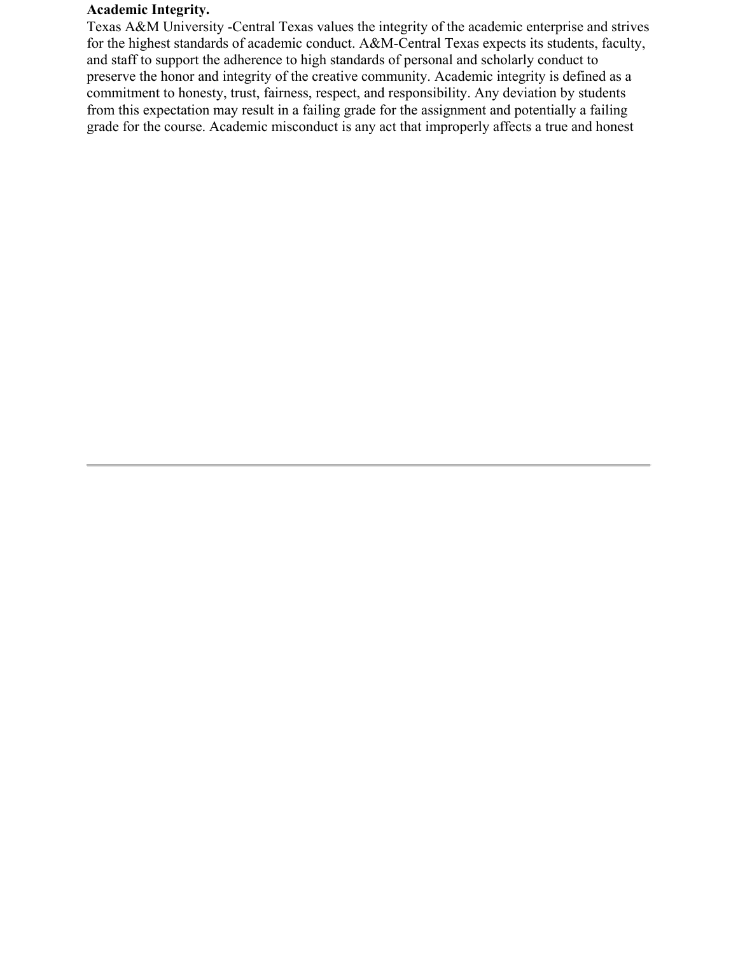### **Academic Integrity.**

Texas A&M University -Central Texas values the integrity of the academic enterprise and strives for the highest standards of academic conduct. A&M-Central Texas expects its students, faculty, and staff to support the adherence to high standards of personal and scholarly conduct to preserve the honor and integrity of the creative community. Academic integrity is defined as a commitment to honesty, trust, fairness, respect, and responsibility. Any deviation by students from this expectation may result in a failing grade for the assignment and potentially a failing grade for the course. Academic misconduct is any act that improperly affects a true and honest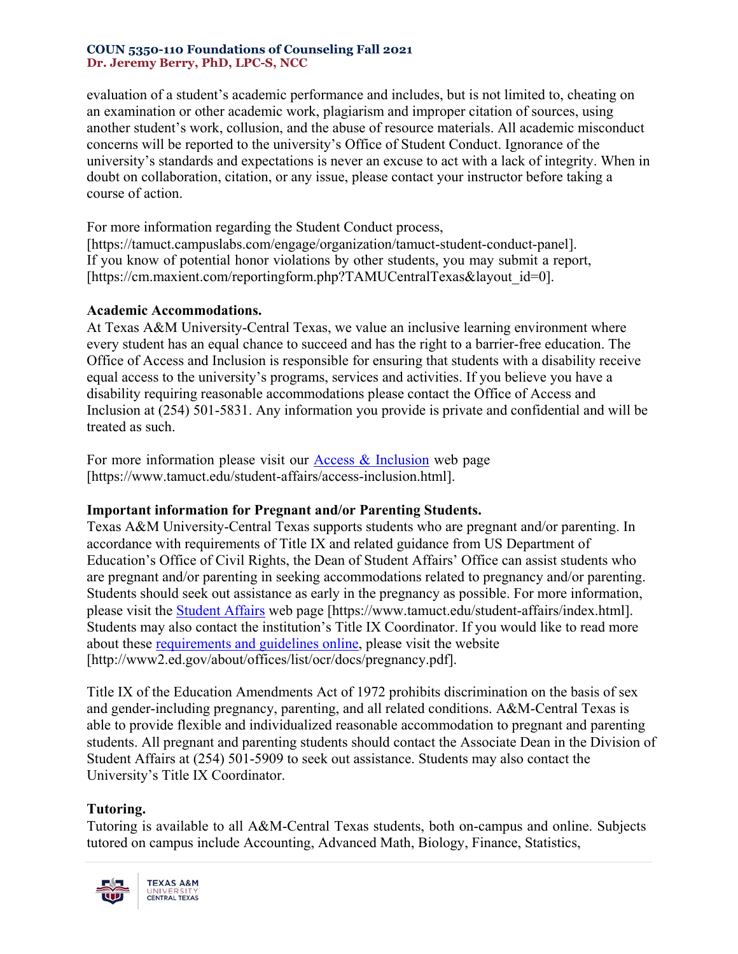evaluation of a student's academic performance and includes, but is not limited to, cheating on an examination or other academic work, plagiarism and improper citation of sources, using another student's work, collusion, and the abuse of resource materials. All academic misconduct concerns will be reported to the university's Office of Student Conduct. Ignorance of the university's standards and expectations is never an excuse to act with a lack of integrity. When in doubt on collaboration, citation, or any issue, please contact your instructor before taking a course of action.

For more information regarding the Student Conduct process, [\[https://tamuct.campuslabs.com/engage/organization/tamuct-student-conduct-panel\]](https://tamuct.campuslabs.com/engage/organization/tamuct-student-conduct-panel/). If you know of potential honor violations by other students, you may submit a report, [\[https://cm.maxient.com/reportingform.php?TAMUCentralTexas&layout\\_id=0\]](https://cm.maxient.com/reportingform.php?tamucentraltexas&layout_id=0/).

### **Academic Accommodations.**

At Texas A&M University-Central Texas, we value an inclusive learning environment where every student has an equal chance to succeed and has the right to a barrier-free education. The Office of Access and Inclusion is responsible for ensuring that students with a disability receive equal access to the university's programs, services and activities. If you believe you have a disability requiring reasonable accommodations please contact the Office of Access and Inclusion at (254) 501-5831. Any information you provide is private and confidential and will be treated as such.

For more information please visit our [Access & Inclusion](https://www.tamuct.edu/student-affairs/access-inclusion.html) web page [\[https://www.tamuct.edu/student-affairs/access-inclusion.html\]](https://www.tamuct.edu/student-affairs/access-inclusion.html).

### **Important information for Pregnant and/or Parenting Students.**

Texas A&M University-Central Texas supports students who are pregnant and/or parenting. In accordance with requirements of Title IX and related guidance from US Department of Education's Office of Civil Rights, the Dean of Student Affairs' Office can assist students who are pregnant and/or parenting in seeking accommodations related to pregnancy and/or parenting. Students should seek out assistance as early in the pregnancy as possible. For more information, please visit the [Student Affairs](https://www.tamuct.edu/student-affairs/index.html) web page [\[https://www.tamuct.edu/student-affairs/index.html\]](https://www.tamuct.edu/student-affairs/index.html). Students may also contact the institution's Title IX Coordinator. If you would like to read more about these [requirements and guidelines](http://www2.ed.gov/about/offices/list/ocr/docs/pregnancy.pdf) online, please visit the website [\[http://www2.ed.gov/about/offices/list/ocr/docs/pregnancy.pdf\]](http://www2.ed.gov/about/offices/list/ocr/docs/pregnancy.pdf/).

Title IX of the Education Amendments Act of 1972 prohibits discrimination on the basis of sex and gender-including pregnancy, parenting, and all related conditions. A&M-Central Texas is able to provide flexible and individualized reasonable accommodation to pregnant and parenting students. All pregnant and parenting students should contact the Associate Dean in the Division of Student Affairs at (254) 501-5909 to seek out assistance. Students may also contact the University's Title IX Coordinator.

### **Tutoring.**

Tutoring is available to all A&M-Central Texas students, both on-campus and online. Subjects tutored on campus include Accounting, Advanced Math, Biology, Finance, Statistics,

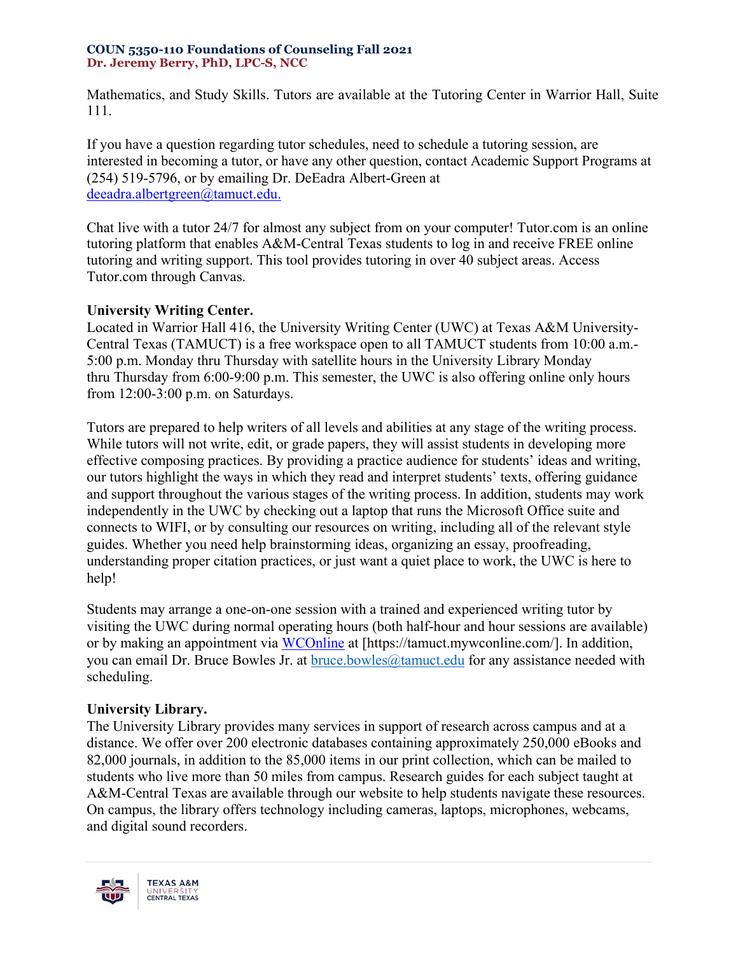Mathematics, and Study Skills. Tutors are available at the Tutoring Center in Warrior Hall, Suite 111.

If you have a question regarding tutor schedules, need to schedule a tutoring session, are interested in becoming a tutor, or have any other question, contact Academic Support Programs at (254) 519-5796, or by emailing Dr. DeEadra Albert-Green at [deeadra.albertgreen@tamuct.edu.](mailto:deeadra.albertgreen@tamuct.edu)

Chat live with a tutor 24/7 for almost any subject from on your computer! Tutor.com is an online tutoring platform that enables A&M-Central Texas students to log in and receive FREE online tutoring and writing support. This tool provides tutoring in over 40 subject areas. Access Tutor.com through Canvas.

## **University Writing Center.**

Located in Warrior Hall 416, the University Writing Center (UWC) at Texas A&M University-Central Texas (TAMUCT) is a free workspace open to all TAMUCT students from 10:00 a.m.- 5:00 p.m. Monday thru Thursday with satellite hours in the University Library Monday thru Thursday from 6:00-9:00 p.m. This semester, the UWC is also offering online only hours from 12:00-3:00 p.m. on Saturdays.

Tutors are prepared to help writers of all levels and abilities at any stage of the writing process. While tutors will not write, edit, or grade papers, they will assist students in developing more effective composing practices. By providing a practice audience for students' ideas and writing, our tutors highlight the ways in which they read and interpret students' texts, offering guidance and support throughout the various stages of the writing process. In addition, students may work independently in the UWC by checking out a laptop that runs the Microsoft Office suite and connects to WIFI, or by consulting our resources on writing, including all of the relevant style guides. Whether you need help brainstorming ideas, organizing an essay, proofreading, understanding proper citation practices, or just want a quiet place to work, the UWC is here to help!

Students may arrange a one-on-one session with a trained and experienced writing tutor by visiting the UWC during normal operating hours (both half-hour and hour sessions are available) or by making an appointment via [WCOnline](https://tamuct.mywconline.com/) at [\[https://tamuct.mywconline.com/\]](https://tamuct.mywconline.com/). In addition, you can email Dr. Bruce Bowles Jr. at  $bruce.bowles@tamuct.edu$  for any assistance needed with scheduling.

# **University Library.**

The University Library provides many services in support of research across campus and at a distance. We offer over 200 electronic databases containing approximately 250,000 eBooks and 82,000 journals, in addition to the 85,000 items in our print collection, which can be mailed to students who live more than 50 miles from campus. Research guides for each subject taught at A&M-Central Texas are available through our website to help students navigate these resources. On campus, the library offers technology including cameras, laptops, microphones, webcams, and digital sound recorders.

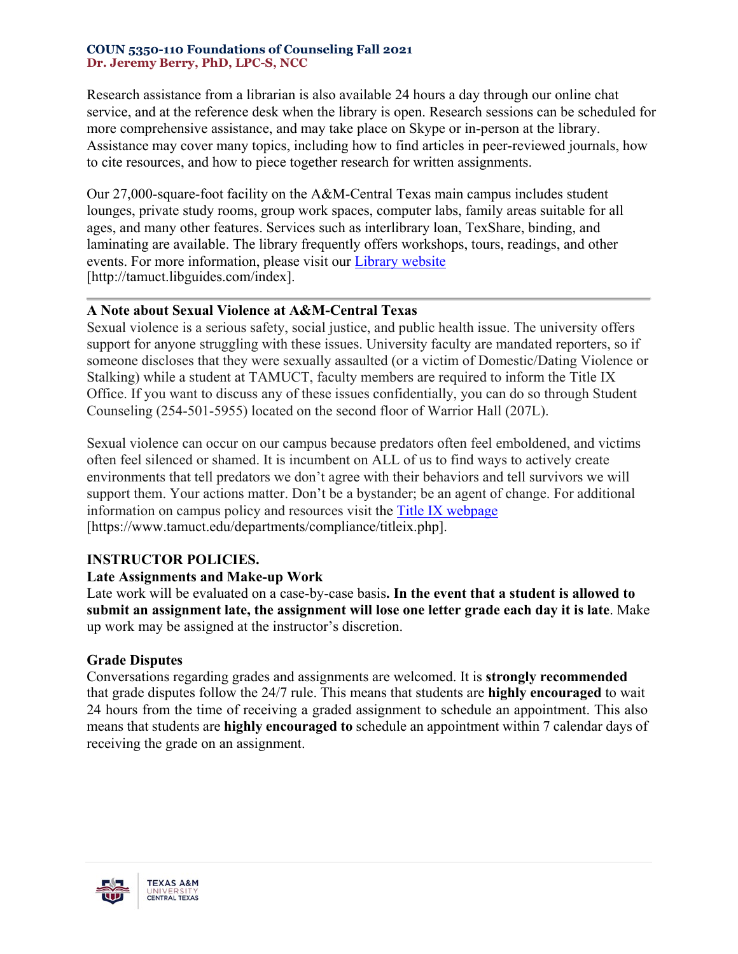Research assistance from a librarian is also available 24 hours a day through our online chat service, and at the reference desk when the library is open. Research sessions can be scheduled for more comprehensive assistance, and may take place on Skype or in-person at the library. Assistance may cover many topics, including how to find articles in peer-reviewed journals, how to cite resources, and how to piece together research for written assignments.

Our 27,000-square-foot facility on the A&M-Central Texas main campus includes student lounges, private study rooms, group work spaces, computer labs, family areas suitable for all ages, and many other features. Services such as interlibrary loan, TexShare, binding, and laminating are available. The library frequently offers workshops, tours, readings, and other events. For more information, please visit our [Library website](https://tamuct.libguides.com/index) [\[http://tamuct.libguides.com/index\]](http://tamuct.libguides.com/index/).

### **A Note about Sexual Violence at A&M-Central Texas**

Sexual violence is a serious safety, social justice, and public health issue. The university offers support for anyone struggling with these issues. University faculty are mandated reporters, so if someone discloses that they were sexually assaulted (or a victim of Domestic/Dating Violence or Stalking) while a student at TAMUCT, faculty members are required to inform the Title IX Office. If you want to discuss any of these issues confidentially, you can do so through Student Counseling (254-501-5955) located on the second floor of Warrior Hall (207L).

Sexual violence can occur on our campus because predators often feel emboldened, and victims often feel silenced or shamed. It is incumbent on ALL of us to find ways to actively create environments that tell predators we don't agree with their behaviors and tell survivors we will support them. Your actions matter. Don't be a bystander; be an agent of change. For additional information on campus policy and resources visit the [Title IX webpage](https://www.tamuct.edu/departments/compliance/titleix.php) [\[https://www.tamuct.edu/departments/compliance/titleix.php\]](https://www.tamuct.edu/departments/compliance/titleix.php/).

# **INSTRUCTOR POLICIES.**

# **Late Assignments and Make-up Work**

Late work will be evaluated on a case-by-case basis**. In the event that a student is allowed to submit an assignment late, the assignment will lose one letter grade each day it is late**. Make up work may be assigned at the instructor's discretion.

# **Grade Disputes**

Conversations regarding grades and assignments are welcomed. It is **strongly recommended** that grade disputes follow the 24/7 rule. This means that students are **highly encouraged** to wait 24 hours from the time of receiving a graded assignment to schedule an appointment. This also means that students are **highly encouraged to** schedule an appointment within 7 calendar days of receiving the grade on an assignment.

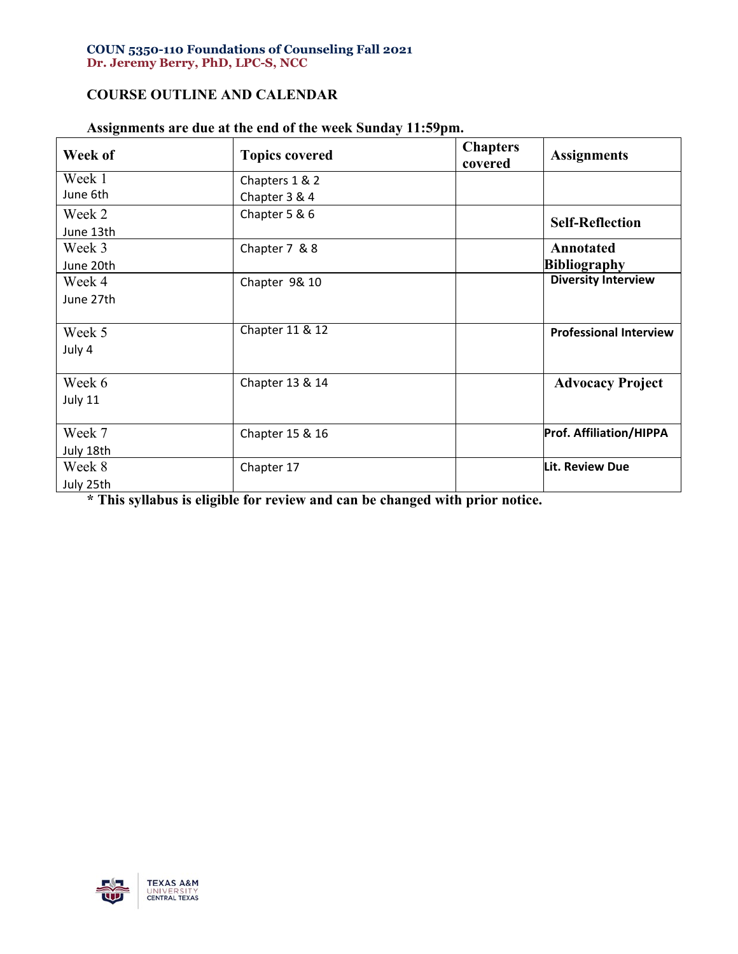## **COURSE OUTLINE AND CALENDAR**

| Week of   | <b>Topics covered</b> | <b>Chapters</b><br>covered | <b>Assignments</b>             |
|-----------|-----------------------|----------------------------|--------------------------------|
| Week 1    | Chapters 1 & 2        |                            |                                |
| June 6th  | Chapter 3 & 4         |                            |                                |
| Week 2    | Chapter 5 & 6         |                            | <b>Self-Reflection</b>         |
| June 13th |                       |                            |                                |
| Week 3    | Chapter 7 & 8         |                            | Annotated                      |
| June 20th |                       |                            | <b>Bibliography</b>            |
| Week 4    | Chapter 9& 10         |                            | <b>Diversity Interview</b>     |
| June 27th |                       |                            |                                |
| Week 5    | Chapter 11 & 12       |                            | <b>Professional Interview</b>  |
| July 4    |                       |                            |                                |
| Week 6    | Chapter 13 & 14       |                            | <b>Advocacy Project</b>        |
| July 11   |                       |                            |                                |
| Week 7    | Chapter 15 & 16       |                            | <b>Prof. Affiliation/HIPPA</b> |
| July 18th |                       |                            |                                |
| Week 8    | Chapter 17            |                            | Lit. Review Due                |
| July 25th |                       |                            |                                |

# **Assignments are due at the end of the week Sunday 11:59pm.**

**\* This syllabus is eligible for review and can be changed with prior notice.**

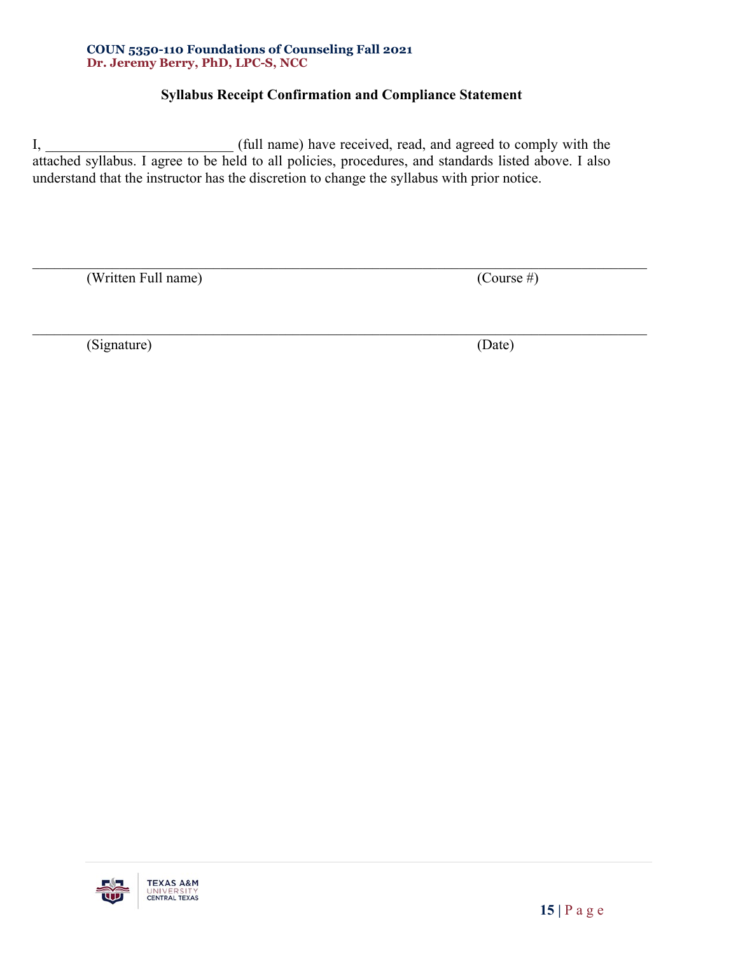# **Syllabus Receipt Confirmation and Compliance Statement**

 $\mathcal{L}_\mathcal{L} = \mathcal{L}_\mathcal{L} = \mathcal{L}_\mathcal{L} = \mathcal{L}_\mathcal{L} = \mathcal{L}_\mathcal{L} = \mathcal{L}_\mathcal{L} = \mathcal{L}_\mathcal{L} = \mathcal{L}_\mathcal{L} = \mathcal{L}_\mathcal{L} = \mathcal{L}_\mathcal{L} = \mathcal{L}_\mathcal{L} = \mathcal{L}_\mathcal{L} = \mathcal{L}_\mathcal{L} = \mathcal{L}_\mathcal{L} = \mathcal{L}_\mathcal{L} = \mathcal{L}_\mathcal{L} = \mathcal{L}_\mathcal{L}$ 

I, \_\_\_\_\_\_\_\_\_\_\_\_\_\_\_\_\_\_\_\_\_\_\_\_\_\_ (full name) have received, read, and agreed to comply with the attached syllabus. I agree to be held to all policies, procedures, and standards listed above. I also understand that the instructor has the discretion to change the syllabus with prior notice.

(Written Full name) (Course #)

(Signature) (Date)

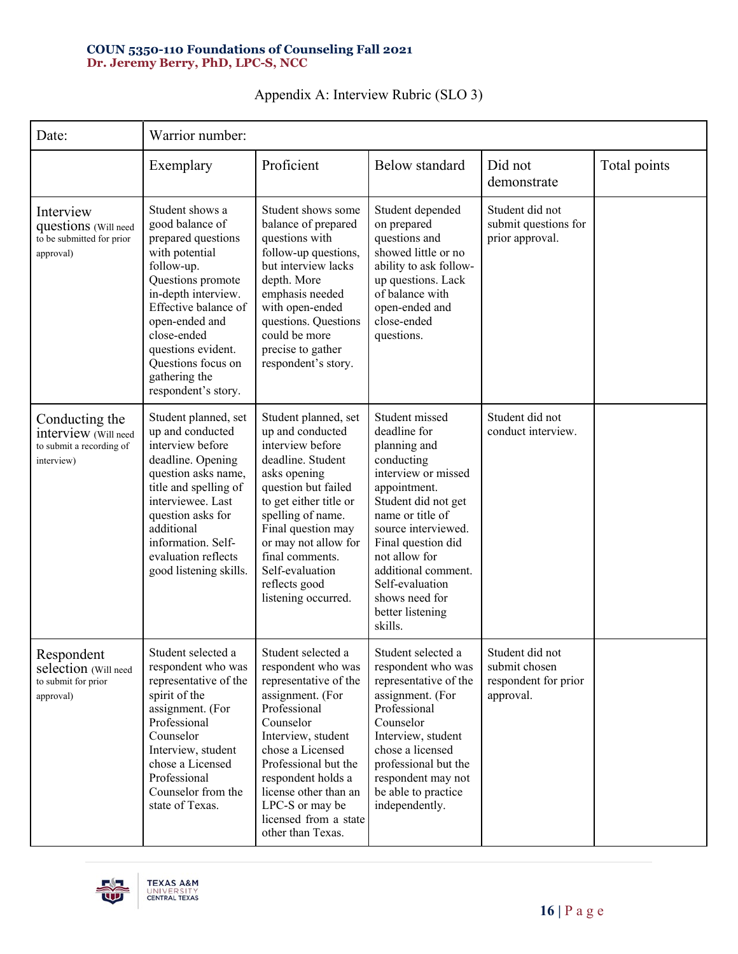| Date:                                                                            | Warrior number:                                                                                                                                                                                                                                                                   |                                                                                                                                                                                                                                                                                                      |                                                                                                                                                                                                                                                                                                         |                                                                       |              |
|----------------------------------------------------------------------------------|-----------------------------------------------------------------------------------------------------------------------------------------------------------------------------------------------------------------------------------------------------------------------------------|------------------------------------------------------------------------------------------------------------------------------------------------------------------------------------------------------------------------------------------------------------------------------------------------------|---------------------------------------------------------------------------------------------------------------------------------------------------------------------------------------------------------------------------------------------------------------------------------------------------------|-----------------------------------------------------------------------|--------------|
|                                                                                  | Exemplary                                                                                                                                                                                                                                                                         | Proficient                                                                                                                                                                                                                                                                                           | Below standard                                                                                                                                                                                                                                                                                          | Did not<br>demonstrate                                                | Total points |
| Interview<br>questions (Will need<br>to be submitted for prior<br>approval)      | Student shows a<br>good balance of<br>prepared questions<br>with potential<br>follow-up.<br>Questions promote<br>in-depth interview.<br>Effective balance of<br>open-ended and<br>close-ended<br>questions evident.<br>Questions focus on<br>gathering the<br>respondent's story. | Student shows some<br>balance of prepared<br>questions with<br>follow-up questions,<br>but interview lacks<br>depth. More<br>emphasis needed<br>with open-ended<br>questions. Questions<br>could be more<br>precise to gather<br>respondent's story.                                                 | Student depended<br>on prepared<br>questions and<br>showed little or no<br>ability to ask follow-<br>up questions. Lack<br>of balance with<br>open-ended and<br>close-ended<br>questions.                                                                                                               | Student did not<br>submit questions for<br>prior approval.            |              |
| Conducting the<br>interview (Will need<br>to submit a recording of<br>interview) | Student planned, set<br>up and conducted<br>interview before<br>deadline. Opening<br>question asks name,<br>title and spelling of<br>interviewee. Last<br>question asks for<br>additional<br>information. Self-<br>evaluation reflects<br>good listening skills.                  | Student planned, set<br>up and conducted<br>interview before<br>deadline. Student<br>asks opening<br>question but failed<br>to get either title or<br>spelling of name.<br>Final question may<br>or may not allow for<br>final comments.<br>Self-evaluation<br>reflects good<br>listening occurred.  | Student missed<br>deadline for<br>planning and<br>conducting<br>interview or missed<br>appointment.<br>Student did not get<br>name or title of<br>source interviewed.<br>Final question did<br>not allow for<br>additional comment.<br>Self-evaluation<br>shows need for<br>better listening<br>skills. | Student did not<br>conduct interview.                                 |              |
| Respondent<br>selection (Will need<br>to submit for prior<br>approval)           | Student selected a<br>respondent who was<br>representative of the<br>spirit of the<br>assignment. (For<br>Professional<br>Counselor<br>Interview, student<br>chose a Licensed<br>Professional<br>Counselor from the<br>state of Texas.                                            | Student selected a<br>respondent who was<br>representative of the<br>assignment. (For<br>Professional<br>Counselor<br>Interview, student<br>chose a Licensed<br>Professional but the<br>respondent holds a<br>license other than an<br>LPC-S or may be<br>licensed from a state<br>other than Texas. | Student selected a<br>respondent who was<br>representative of the<br>assignment. (For<br>Professional<br>Counselor<br>Interview, student<br>chose a licensed<br>professional but the<br>respondent may not<br>be able to practice<br>independently.                                                     | Student did not<br>submit chosen<br>respondent for prior<br>approval. |              |

# Appendix A: Interview Rubric (SLO 3)

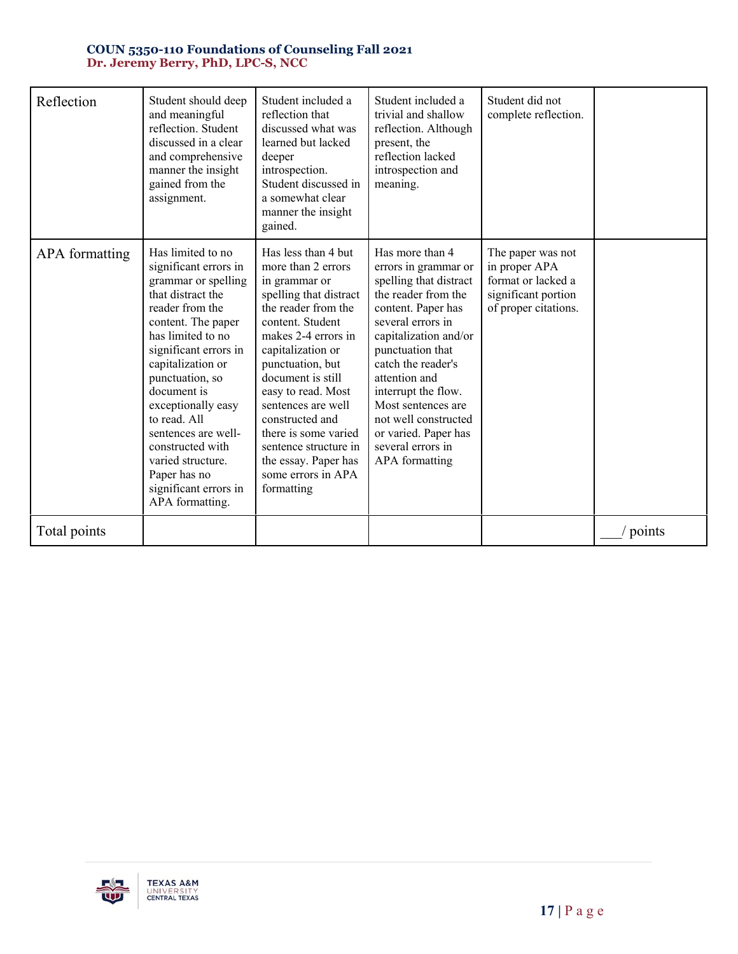| Reflection     | Student should deep<br>and meaningful<br>reflection. Student<br>discussed in a clear<br>and comprehensive<br>manner the insight<br>gained from the<br>assignment.                                                                                                                                                                                                                                      | Student included a<br>reflection that<br>discussed what was<br>learned but lacked<br>deeper<br>introspection.<br>Student discussed in<br>a somewhat clear<br>manner the insight<br>gained.                                                                                                                                                                                                       | Student included a<br>trivial and shallow<br>reflection. Although<br>present, the<br>reflection lacked<br>introspection and<br>meaning.                                                                                                                                                                                                                            | Student did not<br>complete reflection.                                                                 |                      |
|----------------|--------------------------------------------------------------------------------------------------------------------------------------------------------------------------------------------------------------------------------------------------------------------------------------------------------------------------------------------------------------------------------------------------------|--------------------------------------------------------------------------------------------------------------------------------------------------------------------------------------------------------------------------------------------------------------------------------------------------------------------------------------------------------------------------------------------------|--------------------------------------------------------------------------------------------------------------------------------------------------------------------------------------------------------------------------------------------------------------------------------------------------------------------------------------------------------------------|---------------------------------------------------------------------------------------------------------|----------------------|
| APA formatting | Has limited to no<br>significant errors in<br>grammar or spelling<br>that distract the<br>reader from the<br>content. The paper<br>has limited to no<br>significant errors in<br>capitalization or<br>punctuation, so<br>document is<br>exceptionally easy<br>to read. All<br>sentences are well-<br>constructed with<br>varied structure.<br>Paper has no<br>significant errors in<br>APA formatting. | Has less than 4 but<br>more than 2 errors<br>in grammar or<br>spelling that distract<br>the reader from the<br>content. Student<br>makes 2-4 errors in<br>capitalization or<br>punctuation, but<br>document is still<br>easy to read. Most<br>sentences are well<br>constructed and<br>there is some varied<br>sentence structure in<br>the essay. Paper has<br>some errors in APA<br>formatting | Has more than 4<br>errors in grammar or<br>spelling that distract<br>the reader from the<br>content. Paper has<br>several errors in<br>capitalization and/or<br>punctuation that<br>catch the reader's<br>attention and<br>interrupt the flow.<br>Most sentences are<br>not well constructed<br>or varied. Paper has<br>several errors in<br><b>APA</b> formatting | The paper was not<br>in proper APA<br>format or lacked a<br>significant portion<br>of proper citations. |                      |
| Total points   |                                                                                                                                                                                                                                                                                                                                                                                                        |                                                                                                                                                                                                                                                                                                                                                                                                  |                                                                                                                                                                                                                                                                                                                                                                    |                                                                                                         | $\frac{1}{2}$ points |

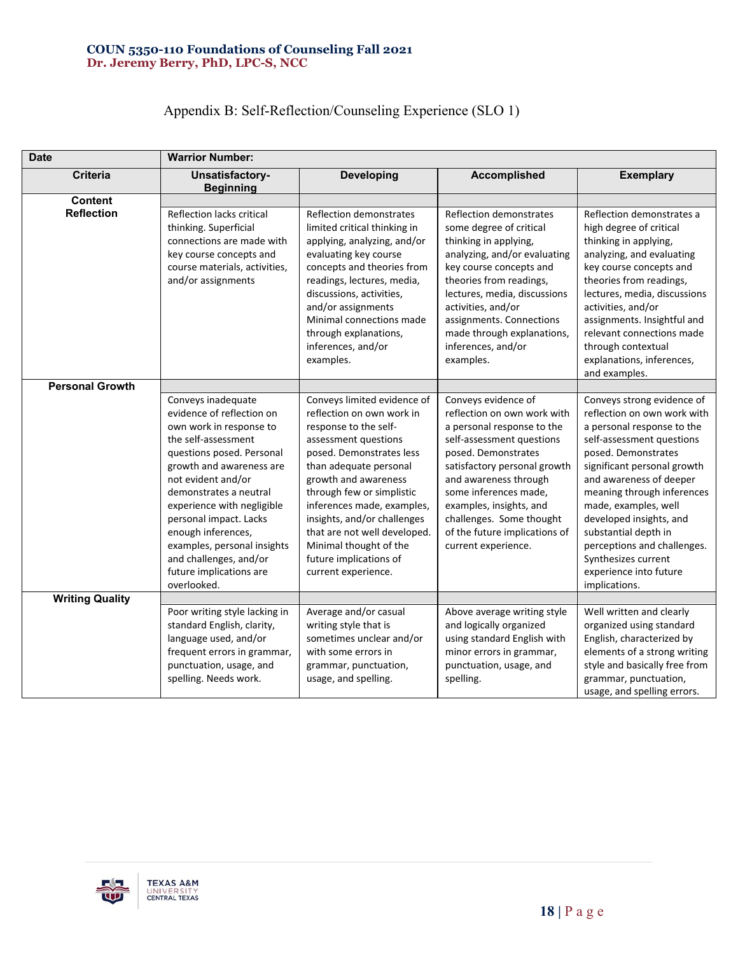# Appendix B: Self-Reflection/Counseling Experience (SLO 1)

| <b>Date</b>            | <b>Warrior Number:</b>                                                                                                                                                                                                                                                                                                                                                                      |                                                                                                                                                                                                                                                                                                                                                                                              |                                                                                                                                                                                                                                                                                                                                       |                                                                                                                                                                                                                                                                                                                                                                                                                 |
|------------------------|---------------------------------------------------------------------------------------------------------------------------------------------------------------------------------------------------------------------------------------------------------------------------------------------------------------------------------------------------------------------------------------------|----------------------------------------------------------------------------------------------------------------------------------------------------------------------------------------------------------------------------------------------------------------------------------------------------------------------------------------------------------------------------------------------|---------------------------------------------------------------------------------------------------------------------------------------------------------------------------------------------------------------------------------------------------------------------------------------------------------------------------------------|-----------------------------------------------------------------------------------------------------------------------------------------------------------------------------------------------------------------------------------------------------------------------------------------------------------------------------------------------------------------------------------------------------------------|
| <b>Criteria</b>        | Unsatisfactory-<br><b>Beginning</b>                                                                                                                                                                                                                                                                                                                                                         | <b>Developing</b>                                                                                                                                                                                                                                                                                                                                                                            | <b>Accomplished</b>                                                                                                                                                                                                                                                                                                                   | <b>Exemplary</b>                                                                                                                                                                                                                                                                                                                                                                                                |
| <b>Content</b>         |                                                                                                                                                                                                                                                                                                                                                                                             |                                                                                                                                                                                                                                                                                                                                                                                              |                                                                                                                                                                                                                                                                                                                                       |                                                                                                                                                                                                                                                                                                                                                                                                                 |
| <b>Reflection</b>      | Reflection lacks critical<br>thinking. Superficial<br>connections are made with<br>key course concepts and<br>course materials, activities,<br>and/or assignments                                                                                                                                                                                                                           | Reflection demonstrates<br>limited critical thinking in<br>applying, analyzing, and/or<br>evaluating key course<br>concepts and theories from<br>readings, lectures, media,<br>discussions, activities,<br>and/or assignments<br>Minimal connections made<br>through explanations,<br>inferences, and/or<br>examples.                                                                        | Reflection demonstrates<br>some degree of critical<br>thinking in applying,<br>analyzing, and/or evaluating<br>key course concepts and<br>theories from readings,<br>lectures, media, discussions<br>activities, and/or<br>assignments. Connections<br>made through explanations,<br>inferences, and/or<br>examples.                  | Reflection demonstrates a<br>high degree of critical<br>thinking in applying,<br>analyzing, and evaluating<br>key course concepts and<br>theories from readings,<br>lectures, media, discussions<br>activities, and/or<br>assignments. Insightful and<br>relevant connections made<br>through contextual<br>explanations, inferences,<br>and examples.                                                          |
| <b>Personal Growth</b> |                                                                                                                                                                                                                                                                                                                                                                                             |                                                                                                                                                                                                                                                                                                                                                                                              |                                                                                                                                                                                                                                                                                                                                       |                                                                                                                                                                                                                                                                                                                                                                                                                 |
|                        | Conveys inadequate<br>evidence of reflection on<br>own work in response to<br>the self-assessment<br>questions posed. Personal<br>growth and awareness are<br>not evident and/or<br>demonstrates a neutral<br>experience with negligible<br>personal impact. Lacks<br>enough inferences,<br>examples, personal insights<br>and challenges, and/or<br>future implications are<br>overlooked. | Conveys limited evidence of<br>reflection on own work in<br>response to the self-<br>assessment questions<br>posed. Demonstrates less<br>than adequate personal<br>growth and awareness<br>through few or simplistic<br>inferences made, examples,<br>insights, and/or challenges<br>that are not well developed.<br>Minimal thought of the<br>future implications of<br>current experience. | Conveys evidence of<br>reflection on own work with<br>a personal response to the<br>self-assessment questions<br>posed. Demonstrates<br>satisfactory personal growth<br>and awareness through<br>some inferences made,<br>examples, insights, and<br>challenges. Some thought<br>of the future implications of<br>current experience. | Conveys strong evidence of<br>reflection on own work with<br>a personal response to the<br>self-assessment questions<br>posed. Demonstrates<br>significant personal growth<br>and awareness of deeper<br>meaning through inferences<br>made, examples, well<br>developed insights, and<br>substantial depth in<br>perceptions and challenges.<br>Synthesizes current<br>experience into future<br>implications. |
| <b>Writing Quality</b> |                                                                                                                                                                                                                                                                                                                                                                                             |                                                                                                                                                                                                                                                                                                                                                                                              |                                                                                                                                                                                                                                                                                                                                       |                                                                                                                                                                                                                                                                                                                                                                                                                 |
|                        | Poor writing style lacking in<br>standard English, clarity,<br>language used, and/or<br>frequent errors in grammar,<br>punctuation, usage, and<br>spelling. Needs work.                                                                                                                                                                                                                     | Average and/or casual<br>writing style that is<br>sometimes unclear and/or<br>with some errors in<br>grammar, punctuation,<br>usage, and spelling.                                                                                                                                                                                                                                           | Above average writing style<br>and logically organized<br>using standard English with<br>minor errors in grammar,<br>punctuation, usage, and<br>spelling.                                                                                                                                                                             | Well written and clearly<br>organized using standard<br>English, characterized by<br>elements of a strong writing<br>style and basically free from<br>grammar, punctuation,<br>usage, and spelling errors.                                                                                                                                                                                                      |

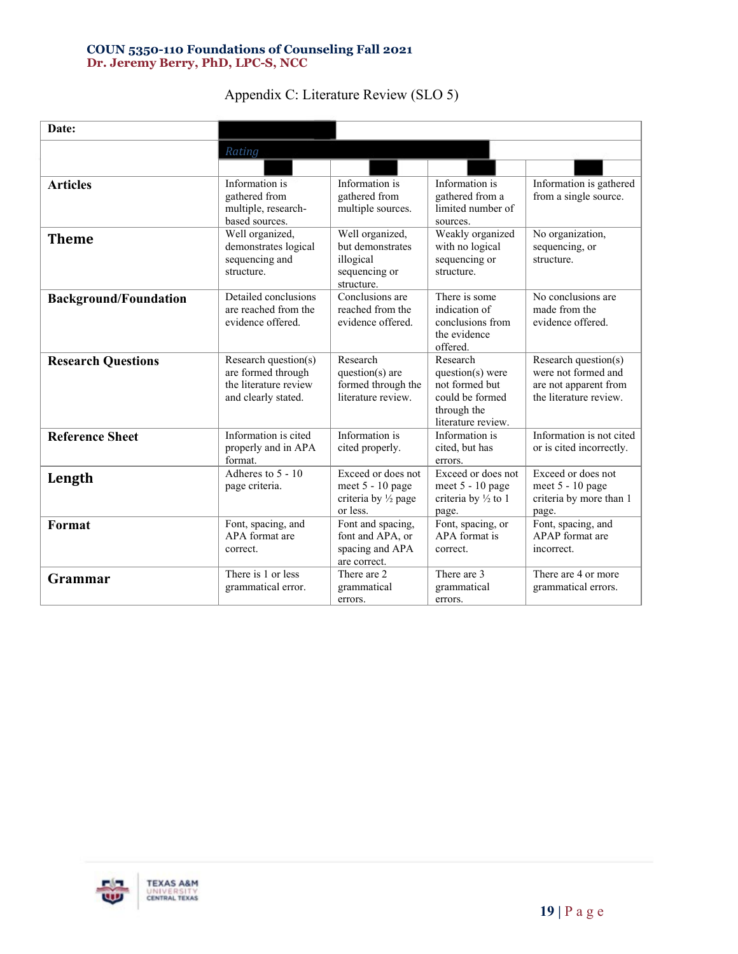| Date:                        |                                                                                            |                                                                                      |                                                                                                          |                                                                                                |
|------------------------------|--------------------------------------------------------------------------------------------|--------------------------------------------------------------------------------------|----------------------------------------------------------------------------------------------------------|------------------------------------------------------------------------------------------------|
|                              |                                                                                            |                                                                                      |                                                                                                          |                                                                                                |
|                              | Rating                                                                                     |                                                                                      |                                                                                                          |                                                                                                |
| <b>Articles</b>              | Information is<br>gathered from<br>multiple, research-<br>based sources.                   | Information is<br>gathered from<br>multiple sources.                                 | Information is<br>gathered from a<br>limited number of<br>sources.                                       | Information is gathered<br>from a single source.                                               |
| <b>Theme</b>                 | Well organized,<br>demonstrates logical<br>sequencing and<br>structure.                    | Well organized,<br>but demonstrates<br>illogical<br>sequencing or<br>structure.      | Weakly organized<br>with no logical<br>sequencing or<br>structure.                                       | No organization,<br>sequencing, or<br>structure.                                               |
| <b>Background/Foundation</b> | Detailed conclusions<br>are reached from the<br>evidence offered.                          | Conclusions are<br>reached from the<br>evidence offered.                             | There is some<br>indication of<br>conclusions from<br>the evidence<br>offered.                           | No conclusions are<br>made from the<br>evidence offered.                                       |
| <b>Research Questions</b>    | Research question(s)<br>are formed through<br>the literature review<br>and clearly stated. | Research<br>question(s) are<br>formed through the<br>literature review.              | Research<br>$question(s)$ were<br>not formed but<br>could be formed<br>through the<br>literature review. | Research question(s)<br>were not formed and<br>are not apparent from<br>the literature review. |
| <b>Reference Sheet</b>       | Information is cited<br>properly and in APA<br>format.                                     | Information is<br>cited properly.                                                    | Information is<br>cited, but has<br>errors.                                                              | Information is not cited<br>or is cited incorrectly.                                           |
| Length                       | Adheres to $5 - 10$<br>page criteria.                                                      | Exceed or does not<br>meet 5 - 10 page<br>criteria by $\frac{1}{2}$ page<br>or less. | Exceed or does not<br>meet 5 - 10 page<br>criteria by $\frac{1}{2}$ to 1<br>page.                        | Exceed or does not<br>meet 5 - 10 page<br>criteria by more than 1<br>page.                     |
| Format                       | Font, spacing, and<br>APA format are<br>correct.                                           | Font and spacing,<br>font and APA, or<br>spacing and APA<br>are correct.             | Font, spacing, or<br>APA format is<br>correct.                                                           | Font, spacing, and<br>APAP format are<br>incorrect.                                            |
| Grammar                      | There is 1 or less<br>grammatical error.                                                   | There are 2<br>grammatical<br>errors.                                                | There are 3<br>grammatical<br>errors.                                                                    | There are 4 or more<br>grammatical errors.                                                     |

## Appendix C: Literature Review (SLO 5)

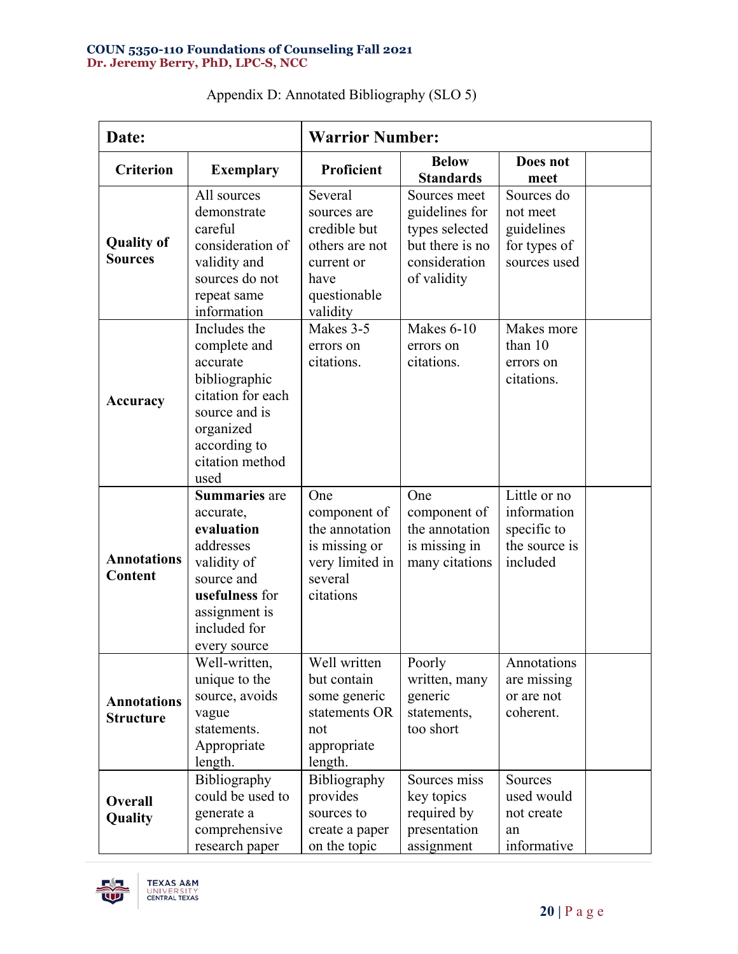| Date:                                  |                                                                                                                                                              | <b>Warrior Number:</b>                                                                                     |                                                                                                     |                                                                         |  |
|----------------------------------------|--------------------------------------------------------------------------------------------------------------------------------------------------------------|------------------------------------------------------------------------------------------------------------|-----------------------------------------------------------------------------------------------------|-------------------------------------------------------------------------|--|
| <b>Criterion</b>                       | <b>Exemplary</b>                                                                                                                                             | Proficient                                                                                                 | <b>Below</b><br><b>Standards</b>                                                                    | Does not<br>meet                                                        |  |
| <b>Quality of</b><br><b>Sources</b>    | All sources<br>demonstrate<br>careful<br>consideration of<br>validity and<br>sources do not<br>repeat same<br>information                                    | Several<br>sources are<br>credible but<br>others are not<br>current or<br>have<br>questionable<br>validity | Sources meet<br>guidelines for<br>types selected<br>but there is no<br>consideration<br>of validity | Sources do<br>not meet<br>guidelines<br>for types of<br>sources used    |  |
| Accuracy                               | Includes the<br>complete and<br>accurate<br>bibliographic<br>citation for each<br>source and is<br>organized<br>according to<br>citation method<br>used      | Makes 3-5<br>errors on<br>citations.                                                                       | Makes 6-10<br>errors on<br>citations.                                                               | Makes more<br>than 10<br>errors on<br>citations.                        |  |
| <b>Annotations</b><br><b>Content</b>   | <b>Summaries</b> are<br>accurate,<br>evaluation<br>addresses<br>validity of<br>source and<br>usefulness for<br>assignment is<br>included for<br>every source | One<br>component of<br>the annotation<br>is missing or<br>very limited in<br>several<br>citations          | One<br>component of<br>the annotation<br>is missing in<br>many citations                            | Little or no<br>information<br>specific to<br>the source is<br>included |  |
| <b>Annotations</b><br><b>Structure</b> | Well-written,<br>unique to the<br>source, avoids<br>vague<br>statements.<br>Appropriate<br>length.                                                           | Well written<br>but contain<br>some generic<br>statements OR<br>not<br>appropriate<br>length.              | Poorly<br>written, many<br>generic<br>statements,<br>too short                                      | Annotations<br>are missing<br>or are not<br>coherent.                   |  |
| Overall<br>Quality                     | Bibliography<br>could be used to<br>generate a<br>comprehensive<br>research paper                                                                            | Bibliography<br>provides<br>sources to<br>create a paper<br>on the topic                                   | Sources miss<br>key topics<br>required by<br>presentation<br>assignment                             | Sources<br>used would<br>not create<br>an<br>informative                |  |

| Appendix D: Annotated Bibliography (SLO 5) |  |  |  |  |
|--------------------------------------------|--|--|--|--|
|--------------------------------------------|--|--|--|--|